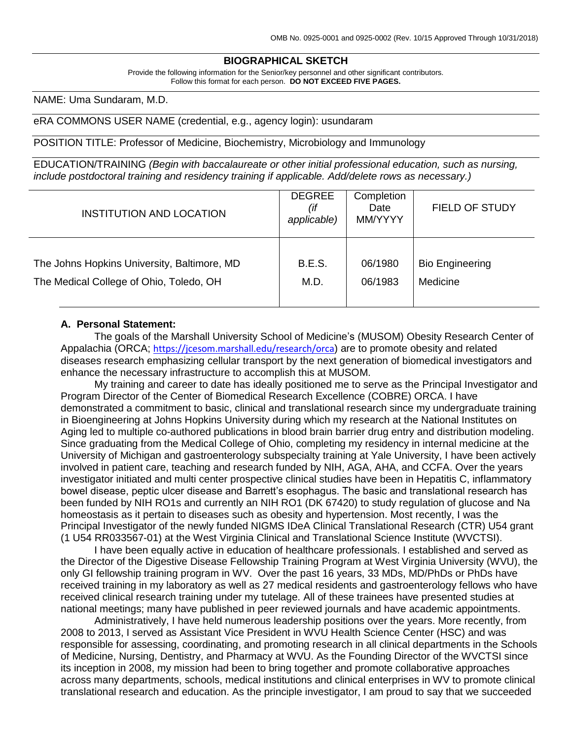# **BIOGRAPHICAL SKETCH**

Provide the following information for the Senior/key personnel and other significant contributors. Follow this format for each person. **DO NOT EXCEED FIVE PAGES.**

NAME: Uma Sundaram, M.D.

#### eRA COMMONS USER NAME (credential, e.g., agency login): usundaram

POSITION TITLE: Professor of Medicine, Biochemistry, Microbiology and Immunology

EDUCATION/TRAINING *(Begin with baccalaureate or other initial professional education, such as nursing, include postdoctoral training and residency training if applicable. Add/delete rows as necessary.)*

| <b>INSTITUTION AND LOCATION</b>             | <b>DEGREE</b><br>(if<br>applicable) | Completion<br>Date<br>MM/YYYY | <b>FIELD OF STUDY</b>  |
|---------------------------------------------|-------------------------------------|-------------------------------|------------------------|
| The Johns Hopkins University, Baltimore, MD | <b>B.E.S.</b>                       | 06/1980                       | <b>Bio Engineering</b> |
| The Medical College of Ohio, Toledo, OH     | M.D.                                | 06/1983                       | Medicine               |

#### **A. Personal Statement:**

The goals of the Marshall University School of Medicine's (MUSOM) Obesity Research Center of Appalachia (ORCA; [https://jcesom.marshall.edu/research/orca](https://jcesom.marshall.edu/research/orca/)) are to promote obesity and related diseases research emphasizing cellular transport by the next generation of biomedical investigators and enhance the necessary infrastructure to accomplish this at MUSOM.

My training and career to date has ideally positioned me to serve as the Principal Investigator and Program Director of the Center of Biomedical Research Excellence (COBRE) ORCA. I have demonstrated a commitment to basic, clinical and translational research since my undergraduate training in Bioengineering at Johns Hopkins University during which my research at the National Institutes on Aging led to multiple co-authored publications in blood brain barrier drug entry and distribution modeling. Since graduating from the Medical College of Ohio, completing my residency in internal medicine at the University of Michigan and gastroenterology subspecialty training at Yale University, I have been actively involved in patient care, teaching and research funded by NIH, AGA, AHA, and CCFA. Over the years investigator initiated and multi center prospective clinical studies have been in Hepatitis C, inflammatory bowel disease, peptic ulcer disease and Barrett's esophagus. The basic and translational research has been funded by NIH RO1s and currently an NIH RO1 (DK 67420) to study regulation of glucose and Na homeostasis as it pertain to diseases such as obesity and hypertension. Most recently, I was the Principal Investigator of the newly funded NIGMS IDeA Clinical Translational Research (CTR) U54 grant (1 U54 RR033567-01) at the West Virginia Clinical and Translational Science Institute (WVCTSI).

I have been equally active in education of healthcare professionals. I established and served as the Director of the Digestive Disease Fellowship Training Program at West Virginia University (WVU), the only GI fellowship training program in WV. Over the past 16 years, 33 MDs, MD/PhDs or PhDs have received training in my laboratory as well as 27 medical residents and gastroenterology fellows who have received clinical research training under my tutelage. All of these trainees have presented studies at national meetings; many have published in peer reviewed journals and have academic appointments.

Administratively, I have held numerous leadership positions over the years. More recently, from 2008 to 2013, I served as Assistant Vice President in WVU Health Science Center (HSC) and was responsible for assessing, coordinating, and promoting research in all clinical departments in the Schools of Medicine, Nursing, Dentistry, and Pharmacy at WVU. As the Founding Director of the WVCTSI since its inception in 2008, my mission had been to bring together and promote collaborative approaches across many departments, schools, medical institutions and clinical enterprises in WV to promote clinical translational research and education. As the principle investigator, I am proud to say that we succeeded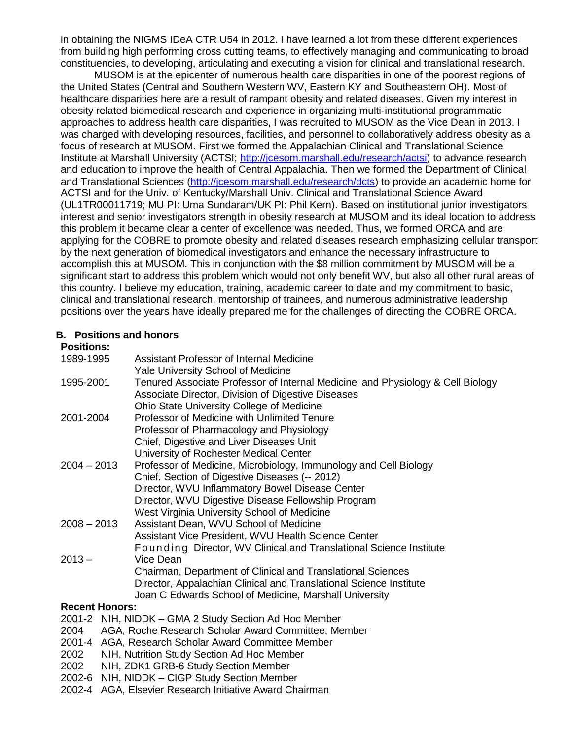in obtaining the NIGMS IDeA CTR U54 in 2012. I have learned a lot from these different experiences from building high performing cross cutting teams, to effectively managing and communicating to broad constituencies, to developing, articulating and executing a vision for clinical and translational research.

MUSOM is at the epicenter of numerous health care disparities in one of the poorest regions of the United States (Central and Southern Western WV, Eastern KY and Southeastern OH). Most of healthcare disparities here are a result of rampant obesity and related diseases. Given my interest in obesity related biomedical research and experience in organizing multi-institutional programmatic approaches to address health care disparities, I was recruited to MUSOM as the Vice Dean in 2013. I was charged with developing resources, facilities, and personnel to collaboratively address obesity as a focus of research at MUSOM. First we formed the Appalachian Clinical and Translational Science Institute at Marshall University (ACTSI; [http://jcesom.marshall.edu/research/actsi\)](http://jcesom.marshall.edu/research/actsi) to advance research and education to improve the health of Central Appalachia. Then we formed the Department of Clinical and Translational Sciences [\(http://jcesom.marshall.edu/research/dcts\)](http://jcesom.marshall.edu/research/dcts) to provide an academic home for ACTSI and for the Univ. of Kentucky/Marshall Univ. Clinical and Translational Science Award (UL1TR00011719; MU PI: Uma Sundaram/UK PI: Phil Kern). Based on institutional junior investigators interest and senior investigators strength in obesity research at MUSOM and its ideal location to address this problem it became clear a center of excellence was needed. Thus, we formed ORCA and are applying for the COBRE to promote obesity and related diseases research emphasizing cellular transport by the next generation of biomedical investigators and enhance the necessary infrastructure to accomplish this at MUSOM. This in conjunction with the \$8 million commitment by MUSOM will be a significant start to address this problem which would not only benefit WV, but also all other rural areas of this country. I believe my education, training, academic career to date and my commitment to basic, clinical and translational research, mentorship of trainees, and numerous administrative leadership positions over the years have ideally prepared me for the challenges of directing the COBRE ORCA.

## **B. Positions and honors**

## **Positions:**

| 1989-1995             | Assistant Professor of Internal Medicine                                                                                |
|-----------------------|-------------------------------------------------------------------------------------------------------------------------|
|                       | Yale University School of Medicine                                                                                      |
| 1995-2001             | Tenured Associate Professor of Internal Medicine and Physiology & Cell Biology                                          |
|                       | Associate Director, Division of Digestive Diseases                                                                      |
|                       | Ohio State University College of Medicine                                                                               |
| 2001-2004             | Professor of Medicine with Unlimited Tenure                                                                             |
|                       | Professor of Pharmacology and Physiology                                                                                |
|                       | Chief, Digestive and Liver Diseases Unit                                                                                |
|                       | University of Rochester Medical Center                                                                                  |
| $2004 - 2013$         | Professor of Medicine, Microbiology, Immunology and Cell Biology                                                        |
|                       | Chief, Section of Digestive Diseases (-- 2012)                                                                          |
|                       | Director, WVU Inflammatory Bowel Disease Center                                                                         |
|                       | Director, WVU Digestive Disease Fellowship Program                                                                      |
|                       | West Virginia University School of Medicine                                                                             |
| $2008 - 2013$         | Assistant Dean, WVU School of Medicine                                                                                  |
|                       | Assistant Vice President, WVU Health Science Center                                                                     |
|                       | Founding Director, WV Clinical and Translational Science Institute                                                      |
| $2013 -$              | Vice Dean                                                                                                               |
|                       | Chairman, Department of Clinical and Translational Sciences                                                             |
|                       | Director, Appalachian Clinical and Translational Science Institute                                                      |
|                       | Joan C Edwards School of Medicine, Marshall University                                                                  |
| <b>Recent Honors:</b> |                                                                                                                         |
|                       | $\bigcap_{i=1}^{n} A_i$ $\bigcap_{i=1}^{n} A_i$ $\bigcap_{i=1}^{n} A_i$ $\bigcap_{i=1}^{n} A_i$ $\bigcap_{i=1}^{n} A_i$ |

- 2001-2 NIH, NIDDK GMA 2 Study Section Ad Hoc Member
- 2004 AGA, Roche Research Scholar Award Committee, Member
- 2001-4 AGA, Research Scholar Award Committee Member
- 2002 NIH, Nutrition Study Section Ad Hoc Member
- 2002 NIH, ZDK1 GRB-6 Study Section Member
- 2002-6 NIH, NIDDK CIGP Study Section Member
- 2002-4 AGA, Elsevier Research Initiative Award Chairman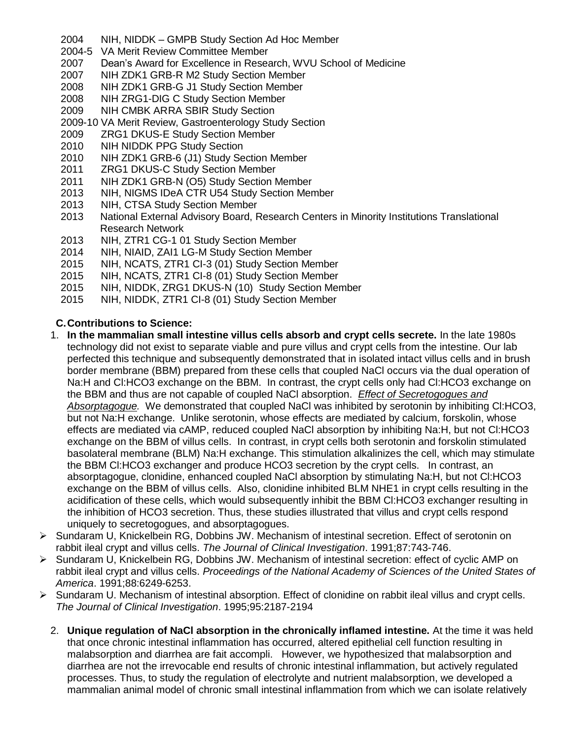- 2004 NIH, NIDDK GMPB Study Section Ad Hoc Member
- 2004-5 VA Merit Review Committee Member
- 2007 Dean's Award for Excellence in Research, WVU School of Medicine
- 2007 NIH ZDK1 GRB-R M2 Study Section Member
- 2008 NIH ZDK1 GRB-G J1 Study Section Member
- 2008 NIH ZRG1-DIG C Study Section Member
- 2009 NIH CMBK ARRA SBIR Study Section
- 2009-10 VA Merit Review, Gastroenterology Study Section
- 2009 ZRG1 DKUS-E Study Section Member
- 2010 NIH NIDDK PPG Study Section
- 2010 NIH ZDK1 GRB-6 (J1) Study Section Member
- 2011 ZRG1 DKUS-C Study Section Member
- 2011 NIH ZDK1 GRB-N (O5) Study Section Member
- 2013 NIH, NIGMS IDeA CTR U54 Study Section Member
- 2013 NIH, CTSA Study Section Member
- 2013 National External Advisory Board, Research Centers in Minority Institutions Translational Research Network
- 2013 NIH, ZTR1 CG-1 01 Study Section Member
- 2014 NIH, NIAID, ZAI1 LG-M Study Section Member
- 2015 NIH, NCATS, ZTR1 CI-3 (01) Study Section Member
- 2015 NIH, NCATS, ZTR1 CI-8 (01) Study Section Member
- 2015 NIH, NIDDK, ZRG1 DKUS-N (10) Study Section Member
- 2015 NIH, NIDDK, ZTR1 CI-8 (01) Study Section Member

# **C.Contributions to Science:**

- 1. **In the mammalian small intestine villus cells absorb and crypt cells secrete.** In the late 1980s technology did not exist to separate viable and pure villus and crypt cells from the intestine. Our lab perfected this technique and subsequently demonstrated that in isolated intact villus cells and in brush border membrane (BBM) prepared from these cells that coupled NaCl occurs via the dual operation of Na:H and Cl:HCO3 exchange on the BBM. In contrast, the crypt cells only had Cl:HCO3 exchange on the BBM and thus are not capable of coupled NaCl absorption. *Effect of Secretogogues and Absorptagogue.* We demonstrated that coupled NaCl was inhibited by serotonin by inhibiting Cl:HCO3, but not Na:H exchange. Unlike serotonin, whose effects are mediated by calcium, forskolin, whose effects are mediated via cAMP, reduced coupled NaCl absorption by inhibiting Na:H, but not Cl:HCO3 exchange on the BBM of villus cells. In contrast, in crypt cells both serotonin and forskolin stimulated basolateral membrane (BLM) Na:H exchange. This stimulation alkalinizes the cell, which may stimulate the BBM Cl:HCO3 exchanger and produce HCO3 secretion by the crypt cells. In contrast, an absorptagogue, clonidine, enhanced coupled NaCl absorption by stimulating Na:H, but not Cl:HCO3 exchange on the BBM of villus cells. Also, clonidine inhibited BLM NHE1 in crypt cells resulting in the acidification of these cells, which would subsequently inhibit the BBM Cl:HCO3 exchanger resulting in the inhibition of HCO3 secretion. Thus, these studies illustrated that villus and crypt cells respond uniquely to secretogogues, and absorptagogues.
- Sundaram U, Knickelbein RG, Dobbins JW. Mechanism of intestinal secretion. Effect of serotonin on rabbit ileal crypt and villus cells. *The Journal of Clinical Investigation*. 1991;87:743-746.
- $\triangleright$  Sundaram U, Knickelbein RG, Dobbins JW. Mechanism of intestinal secretion: effect of cyclic AMP on rabbit ileal crypt and villus cells. *Proceedings of the National Academy of Sciences of the United States of America*. 1991;88:6249-6253.
- $\triangleright$  Sundaram U. Mechanism of intestinal absorption. Effect of clonidine on rabbit ileal villus and crypt cells. *The Journal of Clinical Investigation*. 1995;95:2187-2194
	- 2. **Unique regulation of NaCl absorption in the chronically inflamed intestine.** At the time it was held that once chronic intestinal inflammation has occurred, altered epithelial cell function resulting in malabsorption and diarrhea are fait accompli. However, we hypothesized that malabsorption and diarrhea are not the irrevocable end results of chronic intestinal inflammation, but actively regulated processes. Thus, to study the regulation of electrolyte and nutrient malabsorption, we developed a mammalian animal model of chronic small intestinal inflammation from which we can isolate relatively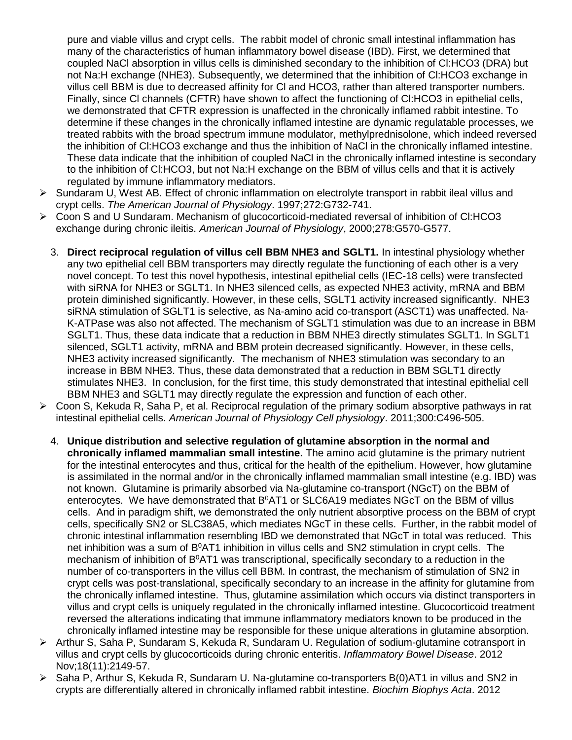pure and viable villus and crypt cells. The rabbit model of chronic small intestinal inflammation has many of the characteristics of human inflammatory bowel disease (IBD). First, we determined that coupled NaCl absorption in villus cells is diminished secondary to the inhibition of Cl:HCO3 (DRA) but not Na:H exchange (NHE3). Subsequently, we determined that the inhibition of Cl:HCO3 exchange in villus cell BBM is due to decreased affinity for Cl and HCO3, rather than altered transporter numbers. Finally, since Cl channels (CFTR) have shown to affect the functioning of Cl:HCO3 in epithelial cells, we demonstrated that CFTR expression is unaffected in the chronically inflamed rabbit intestine. To determine if these changes in the chronically inflamed intestine are dynamic regulatable processes, we treated rabbits with the broad spectrum immune modulator, methylprednisolone, which indeed reversed the inhibition of Cl:HCO3 exchange and thus the inhibition of NaCl in the chronically inflamed intestine. These data indicate that the inhibition of coupled NaCl in the chronically inflamed intestine is secondary to the inhibition of Cl:HCO3, but not Na:H exchange on the BBM of villus cells and that it is actively regulated by immune inflammatory mediators.

- $\triangleright$  Sundaram U, West AB. Effect of chronic inflammation on electrolyte transport in rabbit ileal villus and crypt cells. *The American Journal of Physiology*. 1997;272:G732-741.
- Coon S and U Sundaram. Mechanism of glucocorticoid-mediated reversal of inhibition of Cl:HCO3 exchange during chronic ileitis. *American Journal of Physiology*, 2000;278:G570-G577.
	- 3. **Direct reciprocal regulation of villus cell BBM NHE3 and SGLT1.** In intestinal physiology whether any two epithelial cell BBM transporters may directly regulate the functioning of each other is a very novel concept. To test this novel hypothesis, intestinal epithelial cells (IEC-18 cells) were transfected with siRNA for NHE3 or SGLT1. In NHE3 silenced cells, as expected NHE3 activity, mRNA and BBM protein diminished significantly. However, in these cells, SGLT1 activity increased significantly. NHE3 siRNA stimulation of SGLT1 is selective, as Na-amino acid co-transport (ASCT1) was unaffected. Na-K-ATPase was also not affected. The mechanism of SGLT1 stimulation was due to an increase in BBM SGLT1. Thus, these data indicate that a reduction in BBM NHE3 directly stimulates SGLT1. In SGLT1 silenced, SGLT1 activity, mRNA and BBM protein decreased significantly. However, in these cells, NHE3 activity increased significantly. The mechanism of NHE3 stimulation was secondary to an increase in BBM NHE3. Thus, these data demonstrated that a reduction in BBM SGLT1 directly stimulates NHE3. In conclusion, for the first time, this study demonstrated that intestinal epithelial cell BBM NHE3 and SGLT1 may directly regulate the expression and function of each other.
- Coon S, Kekuda R, Saha P, et al. Reciprocal regulation of the primary sodium absorptive pathways in rat intestinal epithelial cells. *American Journal of Physiology Cell physiology*. 2011;300:C496-505.
	- 4. **Unique distribution and selective regulation of glutamine absorption in the normal and chronically inflamed mammalian small intestine.** The amino acid glutamine is the primary nutrient for the intestinal enterocytes and thus, critical for the health of the epithelium. However, how glutamine is assimilated in the normal and/or in the chronically inflamed mammalian small intestine (e.g. IBD) was not known. Glutamine is primarily absorbed via Na-glutamine co-transport (NGcT) on the BBM of enterocytes. We have demonstrated that  $B^0AT1$  or SLC6A19 mediates NGcT on the BBM of villus cells. And in paradigm shift, we demonstrated the only nutrient absorptive process on the BBM of crypt cells, specifically SN2 or SLC38A5, which mediates NGcT in these cells. Further, in the rabbit model of chronic intestinal inflammation resembling IBD we demonstrated that NGcT in total was reduced. This net inhibition was a sum of  $B^0AT1$  inhibition in villus cells and SN2 stimulation in crypt cells. The mechanism of inhibition of  $B^0AT1$  was transcriptional, specifically secondary to a reduction in the number of co-transporters in the villus cell BBM. In contrast, the mechanism of stimulation of SN2 in crypt cells was post-translational, specifically secondary to an increase in the affinity for glutamine from the chronically inflamed intestine. Thus, glutamine assimilation which occurs via distinct transporters in villus and crypt cells is uniquely regulated in the chronically inflamed intestine. Glucocorticoid treatment reversed the alterations indicating that immune inflammatory mediators known to be produced in the chronically inflamed intestine may be responsible for these unique alterations in glutamine absorption.
- Arthur S, Saha P, Sundaram S, Kekuda R, Sundaram U. Regulation of sodium-glutamine cotransport in villus and crypt cells by glucocorticoids during chronic enteritis. *Inflammatory Bowel Disease*. 2012 Nov;18(11):2149-57.
- $\triangleright$  Saha P, Arthur S, Kekuda R, Sundaram U. Na-glutamine co-transporters B(0)AT1 in villus and SN2 in crypts are differentially altered in chronically inflamed rabbit intestine. *Biochim Biophys Acta*. 2012